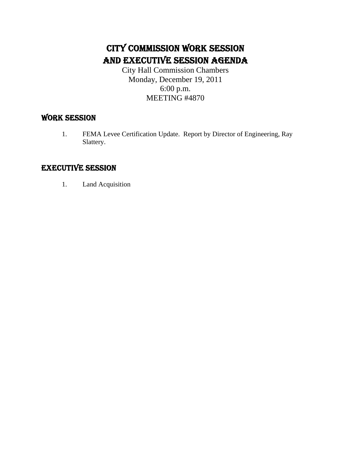### CITY COMMISSION WORK SESSION AND EXECUTIVE SESSION AGENDA

City Hall Commission Chambers Monday, December 19, 2011 6:00 p.m. MEETING #4870

#### WORK SESSION

1. FEMA Levee Certification Update. Report by Director of Engineering, Ray Slattery.

#### EXECUTIVE SESSION

1. Land Acquisition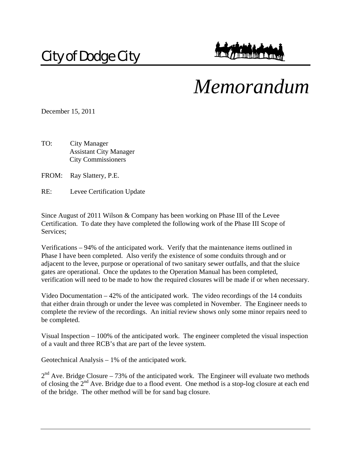## City of Dodge City

# *Memorandum*

December 15, 2011

TO: City Manager Assistant City Manager City Commissioners

FROM: Ray Slattery, P.E.

RE: Levee Certification Update

Since August of 2011 Wilson & Company has been working on Phase III of the Levee Certification. To date they have completed the following work of the Phase III Scope of Services;

Verifications – 94% of the anticipated work. Verify that the maintenance items outlined in Phase I have been completed. Also verify the existence of some conduits through and or adjacent to the levee, purpose or operational of two sanitary sewer outfalls, and that the sluice gates are operational. Once the updates to the Operation Manual has been completed, verification will need to be made to how the required closures will be made if or when necessary.

Video Documentation – 42% of the anticipated work. The video recordings of the 14 conduits that either drain through or under the levee was completed in November. The Engineer needs to complete the review of the recordings. An initial review shows only some minor repairs need to be completed.

Visual Inspection – 100% of the anticipated work. The engineer completed the visual inspection of a vault and three RCB's that are part of the levee system.

Geotechnical Analysis  $-1\%$  of the anticipated work.

 $2<sup>nd</sup>$  Ave. Bridge Closure – 73% of the anticipated work. The Engineer will evaluate two methods of closing the  $2^{nd}$  Ave. Bridge due to a flood event. One method is a stop-log closure at each end of the bridge. The other method will be for sand bag closure.